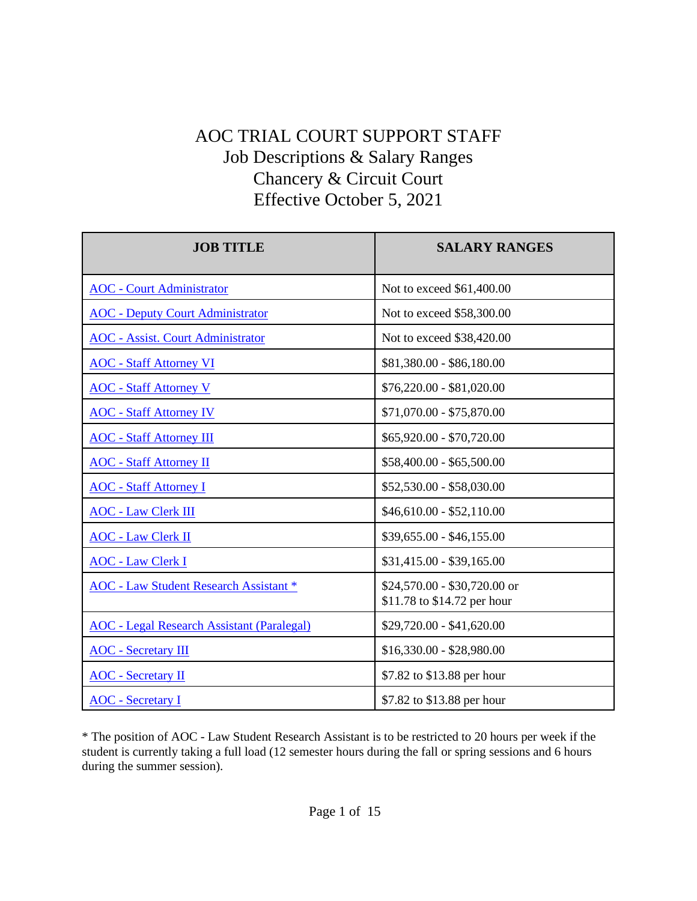## AOC TRIAL COURT SUPPORT STAFF Job Descriptions & Salary Ranges Chancery & Circuit Court Effective October 5, 2021

| <b>JOB TITLE</b>                                  | <b>SALARY RANGES</b>                                        |
|---------------------------------------------------|-------------------------------------------------------------|
| <b>AOC</b> - Court Administrator                  | Not to exceed \$61,400.00                                   |
| <b>AOC</b> - Deputy Court Administrator           | Not to exceed \$58,300.00                                   |
| <b>AOC</b> - Assist. Court Administrator          | Not to exceed \$38,420.00                                   |
| <b>AOC</b> - Staff Attorney VI                    | \$81,380.00 - \$86,180.00                                   |
| <b>AOC</b> - Staff Attorney V                     | $$76,220.00 - $81,020.00$                                   |
| <b>AOC</b> - Staff Attorney IV                    | \$71,070.00 - \$75,870.00                                   |
| <b>AOC</b> - Staff Attorney III                   | \$65,920.00 - \$70,720.00                                   |
| <b>AOC</b> - Staff Attorney II                    | \$58,400.00 - \$65,500.00                                   |
| <b>AOC</b> - Staff Attorney I                     | \$52,530.00 - \$58,030.00                                   |
| <b>AOC</b> - Law Clerk III                        | $$46,610.00 - $52,110.00$                                   |
| <b>AOC</b> - Law Clerk II                         | $$39,655.00 - $46,155.00$                                   |
| <b>AOC</b> - Law Clerk I                          | $$31,415.00 - $39,165.00$                                   |
| <b>AOC</b> - Law Student Research Assistant *     | \$24,570.00 - \$30,720.00 or<br>\$11.78 to \$14.72 per hour |
| <b>AOC</b> - Legal Research Assistant (Paralegal) | $$29,720.00 - $41,620.00$                                   |
| <b>AOC</b> - Secretary III                        | $$16,330.00 - $28,980.00$                                   |
| <b>AOC</b> - Secretary II                         | \$7.82 to \$13.88 per hour                                  |
| <b>AOC</b> - Secretary I                          | \$7.82 to \$13.88 per hour                                  |

\* The position of AOC - Law Student Research Assistant is to be restricted to 20 hours per week if the student is currently taking a full load (12 semester hours during the fall or spring sessions and 6 hours during the summer session).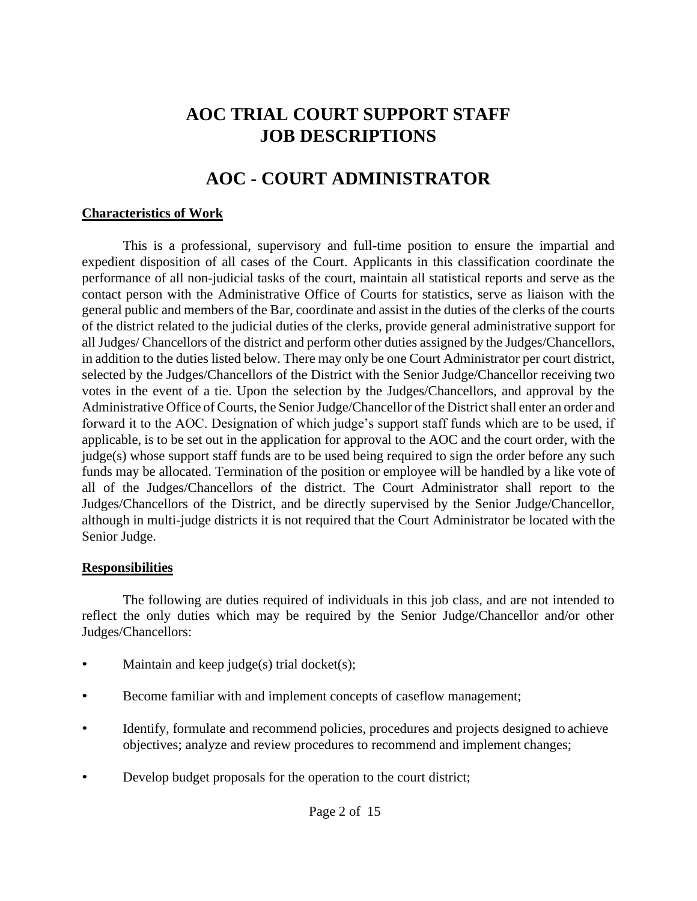## **AOC TRIAL COURT SUPPORT STAFF JOB DESCRIPTIONS**

## **AOC - COURT ADMINISTRATOR**

#### <span id="page-1-0"></span>**Characteristics of Work**

This is a professional, supervisory and full-time position to ensure the impartial and expedient disposition of all cases of the Court. Applicants in this classification coordinate the performance of all non-judicial tasks of the court, maintain all statistical reports and serve as the contact person with the Administrative Office of Courts for statistics, serve as liaison with the general public and members of the Bar, coordinate and assist in the duties of the clerks of the courts of the district related to the judicial duties of the clerks, provide general administrative support for all Judges/ Chancellors of the district and perform other duties assigned by the Judges/Chancellors, in addition to the duties listed below. There may only be one Court Administrator per court district, selected by the Judges/Chancellors of the District with the Senior Judge/Chancellor receiving two votes in the event of a tie. Upon the selection by the Judges/Chancellors, and approval by the Administrative Office of Courts, the Senior Judge/Chancellor of the District shall enter an order and forward it to the AOC. Designation of which judge's support staff funds which are to be used, if applicable, is to be set out in the application for approval to the AOC and the court order, with the judge(s) whose support staff funds are to be used being required to sign the order before any such funds may be allocated. Termination of the position or employee will be handled by a like vote of all of the Judges/Chancellors of the district. The Court Administrator shall report to the Judges/Chancellors of the District, and be directly supervised by the Senior Judge/Chancellor, although in multi-judge districts it is not required that the Court Administrator be located with the Senior Judge.

#### **Responsibilities**

The following are duties required of individuals in this job class, and are not intended to reflect the only duties which may be required by the Senior Judge/Chancellor and/or other Judges/Chancellors:

- Maintain and keep judge(s) trial docket(s);
- Become familiar with and implement concepts of caseflow management;
- Identify, formulate and recommend policies, procedures and projects designed to achieve objectives; analyze and review procedures to recommend and implement changes;
- Develop budget proposals for the operation to the court district;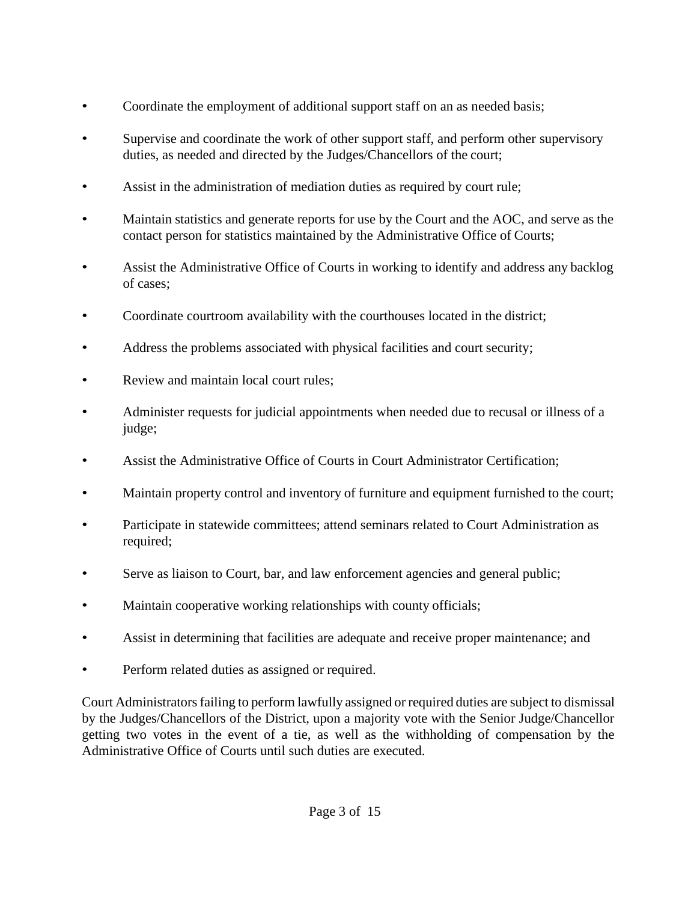- Coordinate the employment of additional support staff on an as needed basis;
- Supervise and coordinate the work of other support staff, and perform other supervisory duties, as needed and directed by the Judges/Chancellors of the court;
- Assist in the administration of mediation duties as required by court rule;
- Maintain statistics and generate reports for use by the Court and the AOC, and serve as the contact person for statistics maintained by the Administrative Office of Courts;
- Assist the Administrative Office of Courts in working to identify and address any backlog of cases;
- Coordinate courtroom availability with the courthouses located in the district;
- Address the problems associated with physical facilities and court security;
- Review and maintain local court rules;
- Administer requests for judicial appointments when needed due to recusal or illness of a judge;
- Assist the Administrative Office of Courts in Court Administrator Certification;
- Maintain property control and inventory of furniture and equipment furnished to the court;
- Participate in statewide committees; attend seminars related to Court Administration as required;
- Serve as liaison to Court, bar, and law enforcement agencies and general public;
- Maintain cooperative working relationships with county officials;
- Assist in determining that facilities are adequate and receive proper maintenance; and
- Perform related duties as assigned or required.

Court Administratorsfailing to perform lawfully assigned or required duties are subject to dismissal by the Judges/Chancellors of the District, upon a majority vote with the Senior Judge/Chancellor getting two votes in the event of a tie, as well as the withholding of compensation by the Administrative Office of Courts until such duties are executed.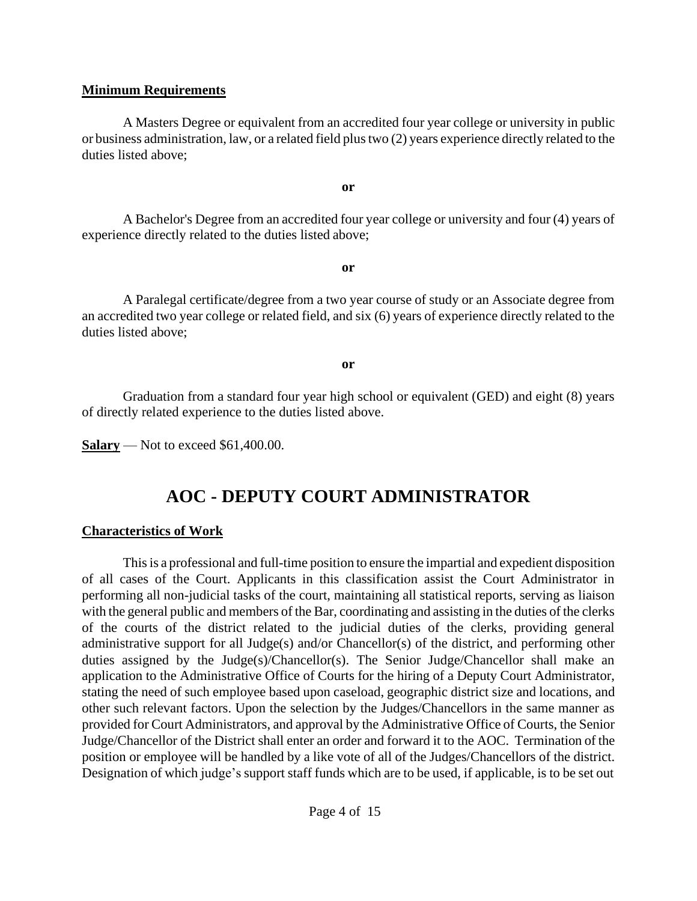#### **Minimum Requirements**

A Masters Degree or equivalent from an accredited four year college or university in public or business administration, law, or a related field plustwo (2) years experience directly related to the duties listed above;

**or**

A Bachelor's Degree from an accredited four year college or university and four (4) years of experience directly related to the duties listed above;

**or**

A Paralegal certificate/degree from a two year course of study or an Associate degree from an accredited two year college or related field, and six (6) years of experience directly related to the duties listed above;

**or**

Graduation from a standard four year high school or equivalent (GED) and eight (8) years of directly related experience to the duties listed above.

**Salary** — Not to exceed \$61,400.00.

## **AOC - DEPUTY COURT ADMINISTRATOR**

### <span id="page-3-0"></span>**Characteristics of Work**

This is a professional and full-time position to ensure the impartial and expedient disposition of all cases of the Court. Applicants in this classification assist the Court Administrator in performing all non-judicial tasks of the court, maintaining all statistical reports, serving as liaison with the general public and members of the Bar, coordinating and assisting in the duties of the clerks of the courts of the district related to the judicial duties of the clerks, providing general administrative support for all Judge(s) and/or Chancellor(s) of the district, and performing other duties assigned by the Judge(s)/Chancellor(s). The Senior Judge/Chancellor shall make an application to the Administrative Office of Courts for the hiring of a Deputy Court Administrator, stating the need of such employee based upon caseload, geographic district size and locations, and other such relevant factors. Upon the selection by the Judges/Chancellors in the same manner as provided for Court Administrators, and approval by the Administrative Office of Courts, the Senior Judge/Chancellor of the District shall enter an order and forward it to the AOC. Termination of the position or employee will be handled by a like vote of all of the Judges/Chancellors of the district. Designation of which judge's support staff funds which are to be used, if applicable, is to be set out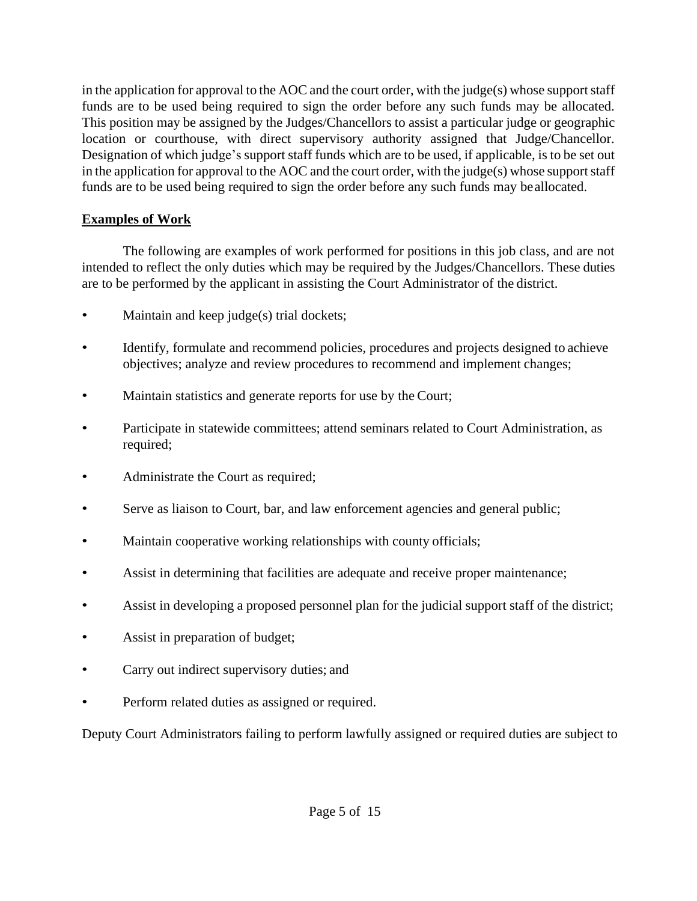in the application for approval to the AOC and the court order, with the judge $(s)$  whose support staff funds are to be used being required to sign the order before any such funds may be allocated. This position may be assigned by the Judges/Chancellors to assist a particular judge or geographic location or courthouse, with direct supervisory authority assigned that Judge/Chancellor. Designation of which judge's support staff funds which are to be used, if applicable, is to be set out in the application for approval to the AOC and the court order, with the judge(s) whose support staff funds are to be used being required to sign the order before any such funds may beallocated.

### **Examples of Work**

The following are examples of work performed for positions in this job class, and are not intended to reflect the only duties which may be required by the Judges/Chancellors. These duties are to be performed by the applicant in assisting the Court Administrator of the district.

- Maintain and keep judge(s) trial dockets;
- Identify, formulate and recommend policies, procedures and projects designed to achieve objectives; analyze and review procedures to recommend and implement changes;
- Maintain statistics and generate reports for use by the Court;
- Participate in statewide committees; attend seminars related to Court Administration, as required;
- Administrate the Court as required;
- Serve as liaison to Court, bar, and law enforcement agencies and general public;
- Maintain cooperative working relationships with county officials;
- Assist in determining that facilities are adequate and receive proper maintenance;
- Assist in developing a proposed personnel plan for the judicial support staff of the district;
- Assist in preparation of budget;
- Carry out indirect supervisory duties; and
- Perform related duties as assigned or required.

Deputy Court Administrators failing to perform lawfully assigned or required duties are subject to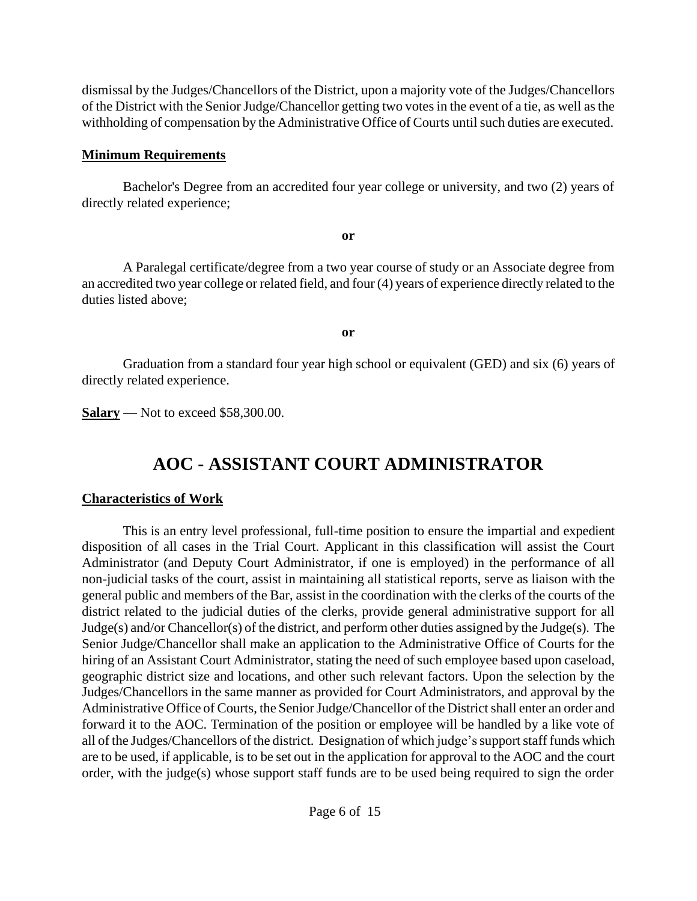dismissal by the Judges/Chancellors of the District, upon a majority vote of the Judges/Chancellors of the District with the Senior Judge/Chancellor getting two votes in the event of a tie, as well as the withholding of compensation by the Administrative Office of Courts until such duties are executed.

### **Minimum Requirements**

Bachelor's Degree from an accredited four year college or university, and two (2) years of directly related experience;

**or**

A Paralegal certificate/degree from a two year course of study or an Associate degree from an accredited two year college or related field, and four (4) years of experience directly related to the duties listed above;

**or**

Graduation from a standard four year high school or equivalent (GED) and six (6) years of directly related experience.

**Salary** — Not to exceed \$58,300.00.

# **AOC - ASSISTANT COURT ADMINISTRATOR**

### <span id="page-5-0"></span>**Characteristics of Work**

This is an entry level professional, full-time position to ensure the impartial and expedient disposition of all cases in the Trial Court. Applicant in this classification will assist the Court Administrator (and Deputy Court Administrator, if one is employed) in the performance of all non-judicial tasks of the court, assist in maintaining all statistical reports, serve as liaison with the general public and members of the Bar, assist in the coordination with the clerks of the courts of the district related to the judicial duties of the clerks, provide general administrative support for all Judge(s) and/or Chancellor(s) of the district, and perform other duties assigned by the Judge(s). The Senior Judge/Chancellor shall make an application to the Administrative Office of Courts for the hiring of an Assistant Court Administrator, stating the need of such employee based upon caseload, geographic district size and locations, and other such relevant factors. Upon the selection by the Judges/Chancellors in the same manner as provided for Court Administrators, and approval by the Administrative Office of Courts, the Senior Judge/Chancellor of the District shall enter an order and forward it to the AOC. Termination of the position or employee will be handled by a like vote of all of the Judges/Chancellors of the district. Designation of which judge's support staff funds which are to be used, if applicable, is to be set out in the application for approval to the AOC and the court order, with the judge(s) whose support staff funds are to be used being required to sign the order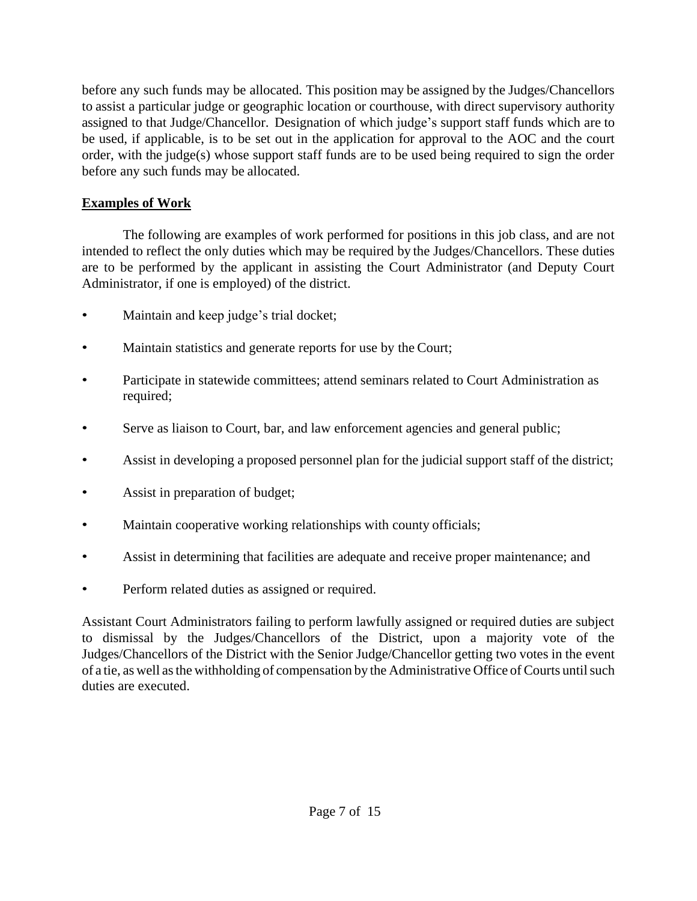before any such funds may be allocated. This position may be assigned by the Judges/Chancellors to assist a particular judge or geographic location or courthouse, with direct supervisory authority assigned to that Judge/Chancellor. Designation of which judge's support staff funds which are to be used, if applicable, is to be set out in the application for approval to the AOC and the court order, with the judge(s) whose support staff funds are to be used being required to sign the order before any such funds may be allocated.

### **Examples of Work**

The following are examples of work performed for positions in this job class, and are not intended to reflect the only duties which may be required by the Judges/Chancellors. These duties are to be performed by the applicant in assisting the Court Administrator (and Deputy Court Administrator, if one is employed) of the district.

- Maintain and keep judge's trial docket;
- Maintain statistics and generate reports for use by the Court;
- Participate in statewide committees; attend seminars related to Court Administration as required;
- Serve as liaison to Court, bar, and law enforcement agencies and general public;
- Assist in developing a proposed personnel plan for the judicial support staff of the district;
- Assist in preparation of budget;
- Maintain cooperative working relationships with county officials;
- Assist in determining that facilities are adequate and receive proper maintenance; and
- Perform related duties as assigned or required.

Assistant Court Administrators failing to perform lawfully assigned or required duties are subject to dismissal by the Judges/Chancellors of the District, upon a majority vote of the Judges/Chancellors of the District with the Senior Judge/Chancellor getting two votes in the event of a tie, as well as the withholding of compensation by the Administrative Office of Courts until such duties are executed.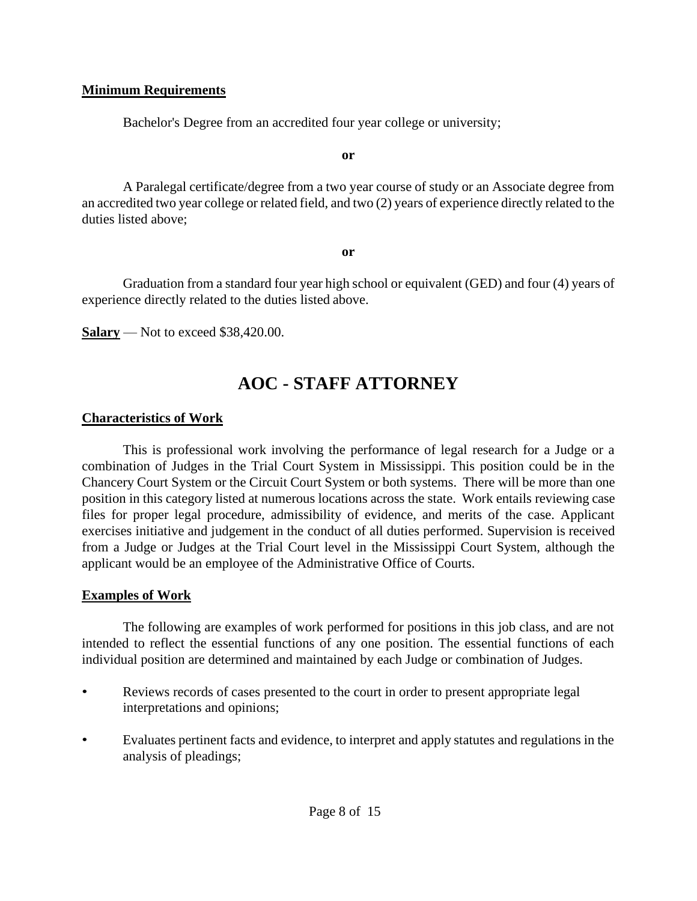#### **Minimum Requirements**

Bachelor's Degree from an accredited four year college or university;

**or**

A Paralegal certificate/degree from a two year course of study or an Associate degree from an accredited two year college or related field, and two (2) years of experience directly related to the duties listed above;

**or**

Graduation from a standard four year high school or equivalent (GED) and four (4) years of experience directly related to the duties listed above.

**Salary** — Not to exceed \$38,420.00.

## **AOC - STAFF ATTORNEY**

#### **Characteristics of Work**

This is professional work involving the performance of legal research for a Judge or a combination of Judges in the Trial Court System in Mississippi. This position could be in the Chancery Court System or the Circuit Court System or both systems. There will be more than one position in this category listed at numerous locations across the state. Work entails reviewing case files for proper legal procedure, admissibility of evidence, and merits of the case. Applicant exercises initiative and judgement in the conduct of all duties performed. Supervision is received from a Judge or Judges at the Trial Court level in the Mississippi Court System, although the applicant would be an employee of the Administrative Office of Courts.

#### **Examples of Work**

The following are examples of work performed for positions in this job class, and are not intended to reflect the essential functions of any one position. The essential functions of each individual position are determined and maintained by each Judge or combination of Judges.

- Reviews records of cases presented to the court in order to present appropriate legal interpretations and opinions;
- Evaluates pertinent facts and evidence, to interpret and apply statutes and regulations in the analysis of pleadings;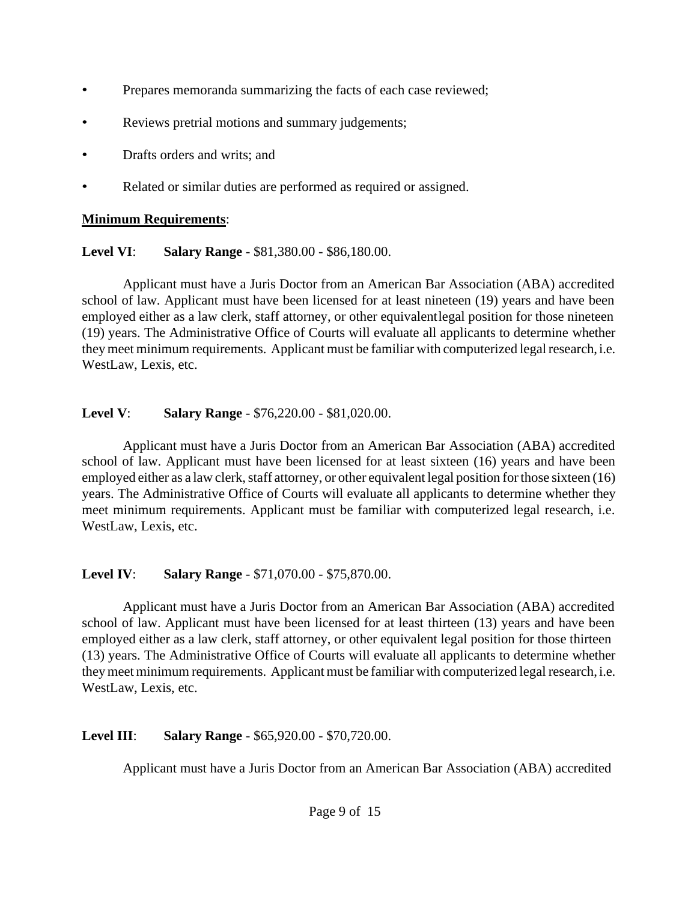- Prepares memoranda summarizing the facts of each case reviewed;
- Reviews pretrial motions and summary judgements;
- Drafts orders and writs; and
- Related or similar duties are performed as required or assigned.

## **Minimum Requirements**:

## <span id="page-8-0"></span>**Level VI**: **Salary Range** - \$81,380.00 - \$86,180.00.

Applicant must have a Juris Doctor from an American Bar Association (ABA) accredited school of law. Applicant must have been licensed for at least nineteen (19) years and have been employed either as a law clerk, staff attorney, or other equivalentlegal position for those nineteen (19) years. The Administrative Office of Courts will evaluate all applicants to determine whether they meet minimum requirements. Applicant must be familiar with computerized legal research, i.e. WestLaw, Lexis, etc.

## <span id="page-8-1"></span>**Level V**: **Salary Range** - \$76,220.00 - \$81,020.00.

Applicant must have a Juris Doctor from an American Bar Association (ABA) accredited school of law. Applicant must have been licensed for at least sixteen (16) years and have been employed either as a law clerk, staff attorney, or other equivalent legal position for those sixteen (16) years. The Administrative Office of Courts will evaluate all applicants to determine whether they meet minimum requirements. Applicant must be familiar with computerized legal research, i.e. WestLaw, Lexis, etc.

## <span id="page-8-2"></span>**Level IV**: **Salary Range** - \$71,070.00 - \$75,870.00.

Applicant must have a Juris Doctor from an American Bar Association (ABA) accredited school of law. Applicant must have been licensed for at least thirteen (13) years and have been employed either as a law clerk, staff attorney, or other equivalent legal position for those thirteen (13) years. The Administrative Office of Courts will evaluate all applicants to determine whether theymeet minimum requirements. Applicant must be familiar with computerized legal research, i.e. WestLaw, Lexis, etc.

## <span id="page-8-3"></span>**Level III**: **Salary Range** - \$65,920.00 - \$70,720.00.

Applicant must have a Juris Doctor from an American Bar Association (ABA) accredited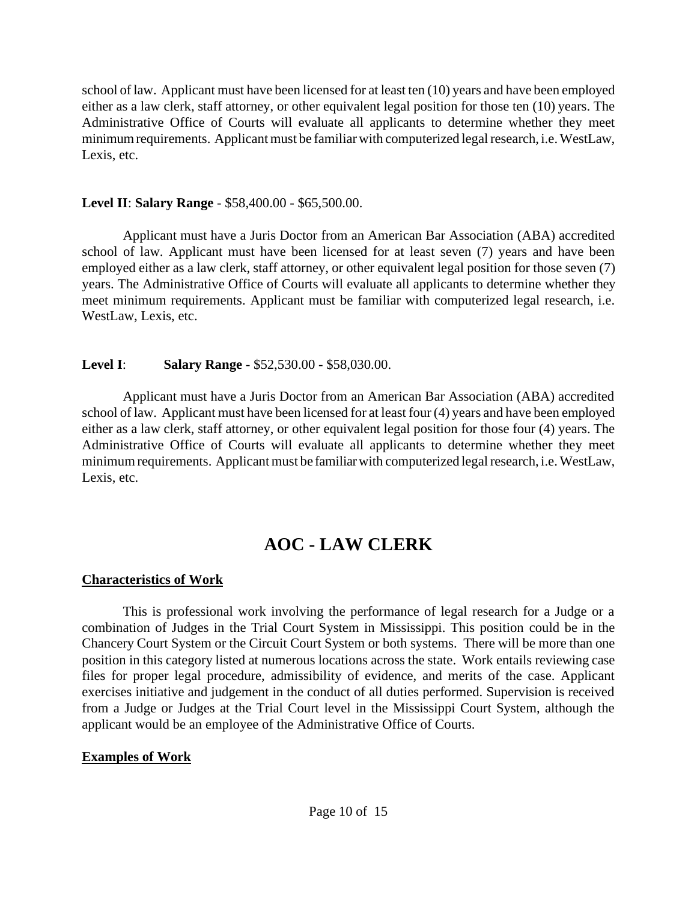school of law. Applicant must have been licensed for at least ten (10) years and have been employed either as a law clerk, staff attorney, or other equivalent legal position for those ten (10) years. The Administrative Office of Courts will evaluate all applicants to determine whether they meet minimum requirements. Applicant must be familiar with computerized legal research, i.e. WestLaw, Lexis, etc.

#### <span id="page-9-0"></span>**Level II**: **Salary Range** - \$58,400.00 - \$65,500.00.

Applicant must have a Juris Doctor from an American Bar Association (ABA) accredited school of law. Applicant must have been licensed for at least seven (7) years and have been employed either as a law clerk, staff attorney, or other equivalent legal position for those seven (7) years. The Administrative Office of Courts will evaluate all applicants to determine whether they meet minimum requirements. Applicant must be familiar with computerized legal research, i.e. WestLaw, Lexis, etc.

### <span id="page-9-1"></span>**Level I**: **Salary Range** - \$52,530.00 - \$58,030.00.

Applicant must have a Juris Doctor from an American Bar Association (ABA) accredited school of law. Applicant must have been licensed for at least four (4) years and have been employed either as a law clerk, staff attorney, or other equivalent legal position for those four (4) years. The Administrative Office of Courts will evaluate all applicants to determine whether they meet minimum requirements. Applicant must be familiar with computerized legal research, i.e. WestLaw, Lexis, etc.

# **AOC - LAW CLERK**

## **Characteristics of Work**

This is professional work involving the performance of legal research for a Judge or a combination of Judges in the Trial Court System in Mississippi. This position could be in the Chancery Court System or the Circuit Court System or both systems. There will be more than one position in this category listed at numerous locations across the state. Work entails reviewing case files for proper legal procedure, admissibility of evidence, and merits of the case. Applicant exercises initiative and judgement in the conduct of all duties performed. Supervision is received from a Judge or Judges at the Trial Court level in the Mississippi Court System, although the applicant would be an employee of the Administrative Office of Courts.

## **Examples of Work**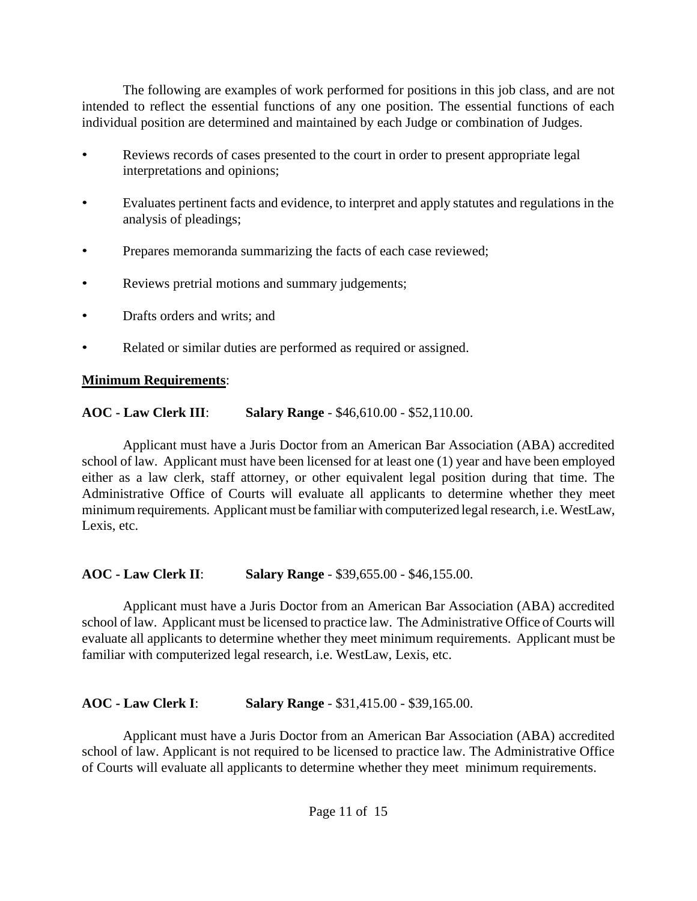The following are examples of work performed for positions in this job class, and are not intended to reflect the essential functions of any one position. The essential functions of each individual position are determined and maintained by each Judge or combination of Judges.

- Reviews records of cases presented to the court in order to present appropriate legal interpretations and opinions;
- Evaluates pertinent facts and evidence, to interpret and apply statutes and regulations in the analysis of pleadings;
- Prepares memoranda summarizing the facts of each case reviewed;
- Reviews pretrial motions and summary judgements;
- Drafts orders and writs; and
- Related or similar duties are performed as required or assigned.

## **Minimum Requirements**:

<span id="page-10-0"></span>**AOC - Law Clerk III**: **Salary Range** - \$46,610.00 - \$52,110.00.

Applicant must have a Juris Doctor from an American Bar Association (ABA) accredited school of law. Applicant must have been licensed for at least one (1) year and have been employed either as a law clerk, staff attorney, or other equivalent legal position during that time. The Administrative Office of Courts will evaluate all applicants to determine whether they meet minimum requirements. Applicant must be familiar with computerized legal research, i.e. WestLaw, Lexis, etc.

<span id="page-10-1"></span>**AOC - Law Clerk II**: **Salary Range** - \$39,655.00 - \$46,155.00.

Applicant must have a Juris Doctor from an American Bar Association (ABA) accredited school of law. Applicant must be licensed to practice law. The Administrative Office of Courts will evaluate all applicants to determine whether they meet minimum requirements. Applicant must be familiar with computerized legal research, i.e. WestLaw, Lexis, etc.

<span id="page-10-2"></span>**AOC - Law Clerk I**: **Salary Range** - \$31,415.00 - \$39,165.00.

Applicant must have a Juris Doctor from an American Bar Association (ABA) accredited school of law. Applicant is not required to be licensed to practice law. The Administrative Office of Courts will evaluate all applicants to determine whether they meet minimum requirements.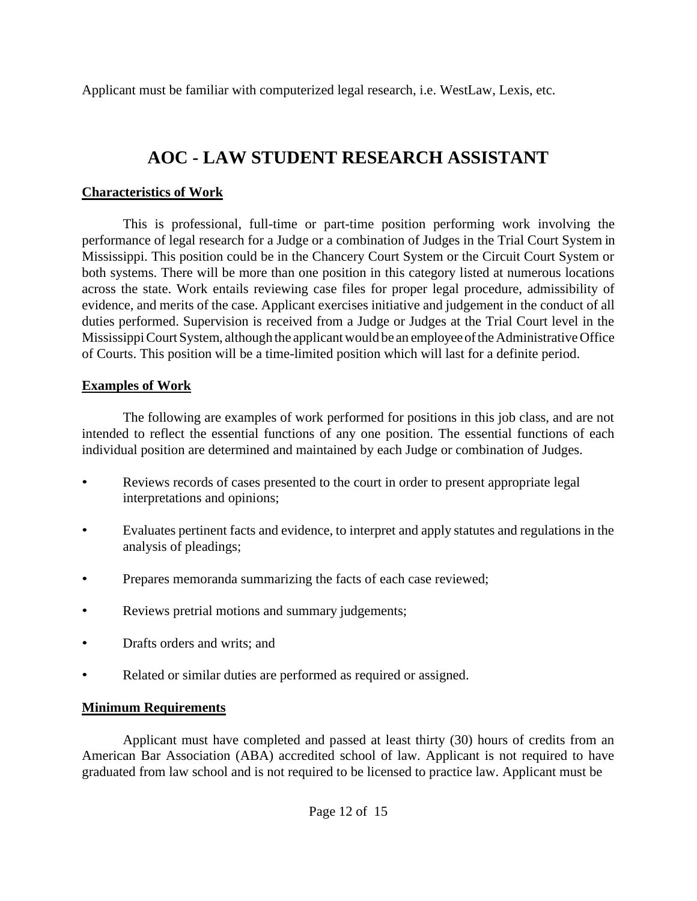Applicant must be familiar with computerized legal research, i.e. WestLaw, Lexis, etc.

# **AOC - LAW STUDENT RESEARCH ASSISTANT**

### <span id="page-11-0"></span>**Characteristics of Work**

This is professional, full-time or part-time position performing work involving the performance of legal research for a Judge or a combination of Judges in the Trial Court System in Mississippi. This position could be in the Chancery Court System or the Circuit Court System or both systems. There will be more than one position in this category listed at numerous locations across the state. Work entails reviewing case files for proper legal procedure, admissibility of evidence, and merits of the case. Applicant exercises initiative and judgement in the conduct of all duties performed. Supervision is received from a Judge or Judges at the Trial Court level in the Mississippi Court System, although the applicant would be an employee of the Administrative Office of Courts. This position will be a time-limited position which will last for a definite period.

## **Examples of Work**

The following are examples of work performed for positions in this job class, and are not intended to reflect the essential functions of any one position. The essential functions of each individual position are determined and maintained by each Judge or combination of Judges.

- Reviews records of cases presented to the court in order to present appropriate legal interpretations and opinions;
- Evaluates pertinent facts and evidence, to interpret and apply statutes and regulations in the analysis of pleadings;
- Prepares memoranda summarizing the facts of each case reviewed;
- Reviews pretrial motions and summary judgements;
- Drafts orders and writs; and
- Related or similar duties are performed as required or assigned.

## **Minimum Requirements**

Applicant must have completed and passed at least thirty (30) hours of credits from an American Bar Association (ABA) accredited school of law. Applicant is not required to have graduated from law school and is not required to be licensed to practice law. Applicant must be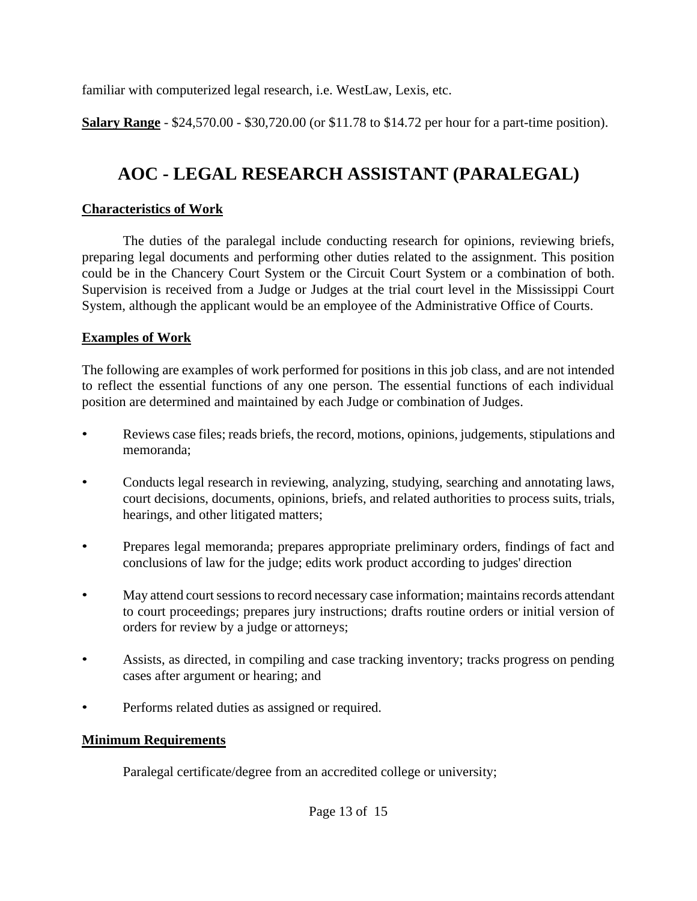familiar with computerized legal research, i.e. WestLaw, Lexis, etc.

**Salary Range** - \$24,570.00 - \$30,720.00 (or \$11.78 to \$14.72 per hour for a part-time position).

# **AOC - LEGAL RESEARCH ASSISTANT (PARALEGAL)**

### <span id="page-12-0"></span>**Characteristics of Work**

The duties of the paralegal include conducting research for opinions, reviewing briefs, preparing legal documents and performing other duties related to the assignment. This position could be in the Chancery Court System or the Circuit Court System or a combination of both. Supervision is received from a Judge or Judges at the trial court level in the Mississippi Court System, although the applicant would be an employee of the Administrative Office of Courts.

## **Examples of Work**

The following are examples of work performed for positions in this job class, and are not intended to reflect the essential functions of any one person. The essential functions of each individual position are determined and maintained by each Judge or combination of Judges.

- Reviews case files; reads briefs, the record, motions, opinions, judgements, stipulations and memoranda;
- Conducts legal research in reviewing, analyzing, studying, searching and annotating laws, court decisions, documents, opinions, briefs, and related authorities to process suits, trials, hearings, and other litigated matters;
- Prepares legal memoranda; prepares appropriate preliminary orders, findings of fact and conclusions of law for the judge; edits work product according to judges' direction
- May attend court sessions to record necessary case information; maintains records attendant to court proceedings; prepares jury instructions; drafts routine orders or initial version of orders for review by a judge or attorneys;
- Assists, as directed, in compiling and case tracking inventory; tracks progress on pending cases after argument or hearing; and
- Performs related duties as assigned or required.

## **Minimum Requirements**

Paralegal certificate/degree from an accredited college or university;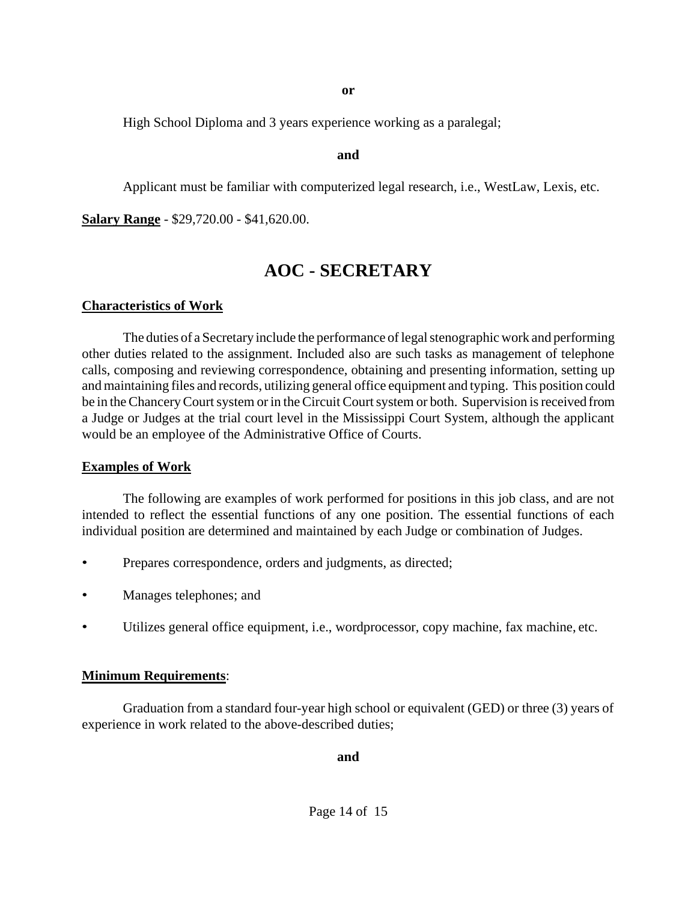**or**

High School Diploma and 3 years experience working as a paralegal;

#### **and**

Applicant must be familiar with computerized legal research, i.e., WestLaw, Lexis, etc.

**Salary Range** - \$29,720.00 - \$41,620.00.

## **AOC - SECRETARY**

#### **Characteristics of Work**

The duties of a Secretary include the performance of legal stenographic work and performing other duties related to the assignment. Included also are such tasks as management of telephone calls, composing and reviewing correspondence, obtaining and presenting information, setting up and maintaining files and records, utilizing general office equipment and typing. This position could be in the Chancery Court system or in the Circuit Court system or both. Supervision is received from a Judge or Judges at the trial court level in the Mississippi Court System, although the applicant would be an employee of the Administrative Office of Courts.

#### **Examples of Work**

The following are examples of work performed for positions in this job class, and are not intended to reflect the essential functions of any one position. The essential functions of each individual position are determined and maintained by each Judge or combination of Judges.

- Prepares correspondence, orders and judgments, as directed;
- Manages telephones; and
- Utilizes general office equipment, i.e., wordprocessor, copy machine, fax machine, etc.

#### **Minimum Requirements**:

Graduation from a standard four-year high school or equivalent (GED) or three (3) years of experience in work related to the above-described duties;

**and**